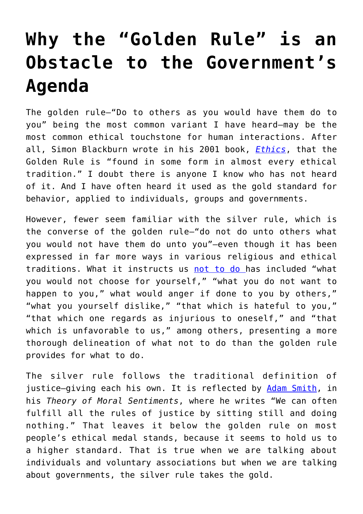## **[Why the "Golden Rule" is an](https://intellectualtakeout.org/2019/02/why-the-golden-rule-is-an-obstacle-to-the-governments-agenda/) [Obstacle to the Government's](https://intellectualtakeout.org/2019/02/why-the-golden-rule-is-an-obstacle-to-the-governments-agenda/) [Agenda](https://intellectualtakeout.org/2019/02/why-the-golden-rule-is-an-obstacle-to-the-governments-agenda/)**

The golden rule—"Do to others as you would have them do to you" being the most common variant I have heard–may be the most common ethical touchstone for human interactions. After all, Simon Blackburn wrote in his 2001 book, *[Ethics](https://www.amazon.com/Ethics-Very-Short-Introduction-Introductions/dp/0192804421)*, that the Golden Rule is "found in some form in almost every ethical tradition." I doubt there is anyone I know who has not heard of it. And I have often heard it used as the gold standard for behavior, applied to individuals, groups and governments.

However, fewer seem familiar with the silver rule, which is the converse of the golden rule—"do not do unto others what you would not have them do unto you"—even though it has been expressed in far more ways in various religious and ethical traditions. What it instructs us [not to do h](https://en.wikipedia.org/wiki/Golden_Rule)as included "what you would not choose for yourself," "what you do not want to happen to you," what would anger if done to you by others," "what you yourself dislike," "that which is hateful to you," "that which one regards as injurious to oneself," and "that which is unfavorable to us," among others, presenting a more thorough delineation of what not to do than the golden rule provides for what to do.

The silver rule follows the traditional definition of justice-giving each his own. It is reflected by [Adam Smith,](https://en.wikiquote.org/wiki/Adam_Smith) in his *Theory of Moral Sentiments*, where he writes "We can often fulfill all the rules of justice by sitting still and doing nothing." That leaves it below the golden rule on most people's ethical medal stands, because it seems to hold us to a higher standard. That is true when we are talking about individuals and voluntary associations but when we are talking about governments, the silver rule takes the gold.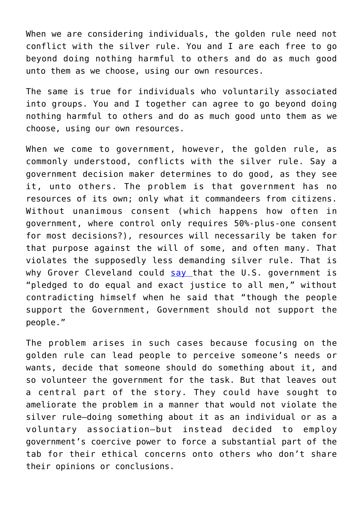When we are considering individuals, the golden rule need not conflict with the silver rule. You and I are each free to go beyond doing nothing harmful to others and do as much good unto them as we choose, using our own resources.

The same is true for individuals who voluntarily associated into groups. You and I together can agree to go beyond doing nothing harmful to others and do as much good unto them as we choose, using our own resources.

When we come to government, however, the golden rule, as commonly understood, conflicts with the silver rule. Say a government decision maker determines to do good, as they see it, unto others. The problem is that government has no resources of its own; only what it commandeers from citizens. Without unanimous consent (which happens how often in government, where control only requires 50%-plus-one consent for most decisions?), resources will necessarily be taken for that purpose against the will of some, and often many. That violates the supposedly less demanding silver rule. That is why Grover Cleveland could [say t](https://mises.org/library/wisdom-grover-cleveland)hat the U.S. government is "pledged to do equal and exact justice to all men," without contradicting himself when he said that "though the people support the Government, Government should not support the people."

The problem arises in such cases because focusing on the golden rule can lead people to perceive someone's needs or wants, decide that someone should do something about it, and so volunteer the government for the task. But that leaves out a central part of the story. They could have sought to ameliorate the problem in a manner that would not violate the silver rule–doing something about it as an individual or as a voluntary association—but instead decided to employ government's coercive power to force a substantial part of the tab for their ethical concerns onto others who don't share their opinions or conclusions.